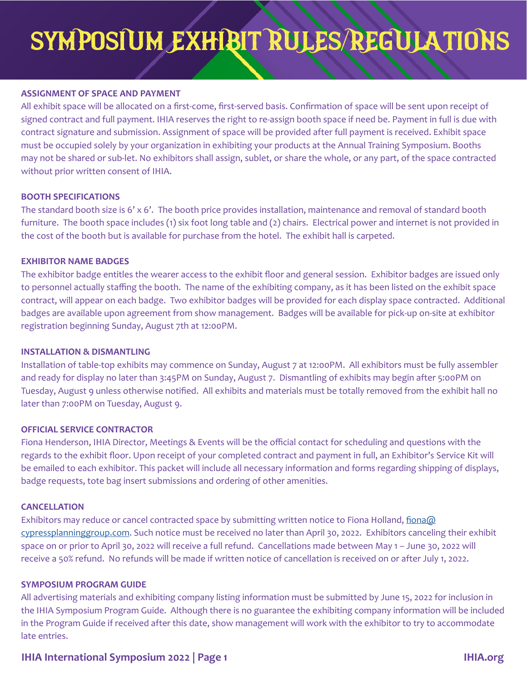## **ASSIGNMENT OF SPACE AND PAYMENT**

All exhibit space will be allocated on a first-come, first-served basis. Confirmation of space will be sent upon receipt of signed contract and full payment. IHIA reserves the right to re-assign booth space if need be. Payment in full is due with contract signature and submission. Assignment of space will be provided after full payment is received. Exhibit space must be occupied solely by your organization in exhibiting your products at the Annual Training Symposium. Booths may not be shared or sub-let. No exhibitors shall assign, sublet, or share the whole, or any part, of the space contracted without prior written consent of IHIA.

## **BOOTH SPECIFICATIONS**

The standard booth size is 6' x 6'. The booth price provides installation, maintenance and removal of standard booth furniture. The booth space includes (1) six foot long table and (2) chairs. Electrical power and internet is not provided in the cost of the booth but is available for purchase from the hotel. The exhibit hall is carpeted.

## **EXHIBITOR NAME BADGES**

The exhibitor badge entitles the wearer access to the exhibit floor and general session. Exhibitor badges are issued only to personnel actually staffing the booth. The name of the exhibiting company, as it has been listed on the exhibit space contract, will appear on each badge. Two exhibitor badges will be provided for each display space contracted. Additional badges are available upon agreement from show management. Badges will be available for pick-up on-site at exhibitor registration beginning Sunday, August 7th at 12:00PM.

## **INSTALLATION & DISMANTLING**

Installation of table-top exhibits may commence on Sunday, August 7 at 12:00PM. All exhibitors must be fully assembler and ready for display no later than 3:45PM on Sunday, August 7. Dismantling of exhibits may begin after 5:00PM on Tuesday, August 9 unless otherwise notified. All exhibits and materials must be totally removed from the exhibit hall no later than 7:00PM on Tuesday, August 9.

## **OFFICIAL SERVICE CONTRACTOR**

Fiona Henderson, IHIA Director, Meetings & Events will be the official contact for scheduling and questions with the regards to the exhibit floor. Upon receipt of your completed contract and payment in full, an Exhibitor's Service Kit will be emailed to each exhibitor. This packet will include all necessary information and forms regarding shipping of displays, badge requests, tote bag insert submissions and ordering of other amenities.

## **CANCELLATION**

Exhibitors may reduce or cancel contracted space by submitting written notice to Fiona Holland, fiona@ cypressplanninggroup.com. Such notice must be received no later than April 30, 2022. Exhibitors canceling their exhibit space on or prior to April 30, 2022 will receive a full refund. Cancellations made between May 1 – June 30, 2022 will receive a 50% refund. No refunds will be made if written notice of cancellation is received on or after July 1, 2022.

## **SYMPOSIUM PROGRAM GUIDE**

All advertising materials and exhibiting company listing information must be submitted by June 15, 2022 for inclusion in the IHIA Symposium Program Guide. Although there is no guarantee the exhibiting company information will be included in the Program Guide if received after this date, show management will work with the exhibitor to try to accommodate late entries.

## **IHIA International Symposium 2022 | Page 1 IHIA.org**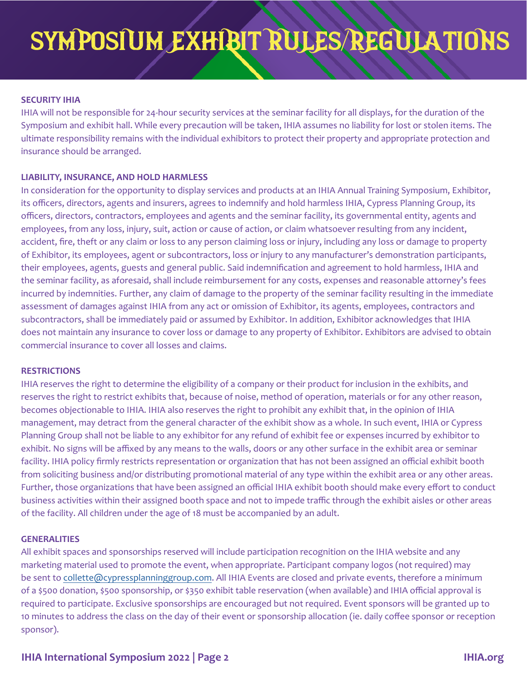## **SECURITY IHIA**

r tne duration or tne<br>st or stolen items. The<br>priate protection and IHIA will not be responsible for 24-hour security services at the seminar facility for all displays, for the duration of the Symposium and exhibit hall. While every precaution will be taken, IHIA assumes no liability for lost or stolen items. The ultimate responsibility remains with the individual exhibitors to protect their property and appropriate protection and insurance should be arranged.

## **LIABILITY, INSURANCE, AND HOLD HARMLESS**

insurance should be arranged.<br>**LIABILITY, INSURANCE, AND HOLD HARMLESS**<br>In consideration for the opportunity to display services and products at an IHIA Annual Training Symposium, Exhibitor, its officers, directors, agents and insurers, agrees to indemnify and hold harmless IHIA, Cypress Planning Group, its officers, directors, contractors, employees and agents and the seminar facility, its governmental entity, agents and employees, from any loss, injury, suit, action or cause of action, or claim whatsoever resulting from any incident, accident, fire, theft or any claim or loss to any person claiming loss or injury, including any loss or damage to property of Exhibitor, its employees, agent or subcontractors, loss or injury to any manufacturer's demonstration participants, their employees, agents, guests and general public. Said indemnification and agreement to hold harmless, IHIA and the seminar facility, as aforesaid, shall include reimbursement for any costs, expenses and reasonable attorney's fees incurred by indemnities. Further, any claim of damage to the property of the seminar facility resulting in the immediate assessment of damages against IHIA from any act or omission of Exhibitor, its agents, employees, contractors and subcontractors, shall be immediately paid or assumed by Exhibitor. In addition, Exhibitor acknowledges that IHIA does not maintain any insurance to cover loss or damage to any property of Exhibitor. Exhibitors are advised to obtain commercial insurance to cover all losses and claims.

#### **RESTRICTIONS**

IHIA reserves the right to determine the eligibility of a company or their product for inclusion in the exhibits, and reserves the right to restrict exhibits that, because of noise, method of operation, materials or for any other reason, becomes objectionable to IHIA. IHIA also reserves the right to prohibit any exhibit that, in the opinion of IHIA management, may detract from the general character of the exhibit show as a whole. In such event, IHIA or Cypress Planning Group shall not be liable to any exhibitor for any refund of exhibit fee or expenses incurred by exhibitor to exhibit. No signs will be affixed by any means to the walls, doors or any other surface in the exhibit area or seminar facility. IHIA policy firmly restricts representation or organization that has not been assigned an official exhibit booth from soliciting business and/or distributing promotional material of any type within the exhibit area or any other areas. Further, those organizations that have been assigned an official IHIA exhibit booth should make every effort to conduct business activities within their assigned booth space and not to impede traffic through the exhibit aisles or other areas of the facility. All children under the age of 18 must be accompanied by an adult.

#### **GENERALITIES**

All exhibit spaces and sponsorships reserved will include participation recognition on the IHIA website and any marketing material used to promote the event, when appropriate. Participant company logos (not required) may be sent to collette@cypressplanninggroup.com. All IHIA Events are closed and private events, therefore a minimum of a \$500 donation, \$500 sponsorship, or \$350 exhibit table reservation (when available) and IHIA official approval is required to participate. Exclusive sponsorships are encouraged but not required. Event sponsors will be granted up to 10 minutes to address the class on the day of their event or sponsorship allocation (ie. daily coffee sponsor or reception sponsor).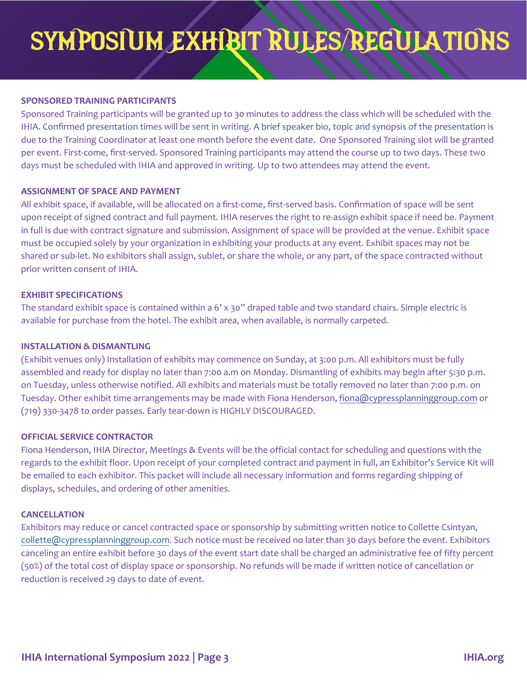## **SPONSORED TRAINING PARTICIPANTS**

be scheduled with the<br>s of the presentation is<br>ing slot will be granted per event. First-come, first-served. Sponsored Training participants may attend the course up to two days. These two<br>days must be scheduled with IHIA and approved in writing. Up to two attendees may attend the event.<br>ASSIG Sponsored Training participants will be granted up to 30 minutes to address the class which will be scheduled with the IHIA. Confirmed presentation times will be sent in writing. A brief speaker bio, topic and synopsis of the presentation is due to the Training Coordinator at least one month before the event date. One Sponsored Training slot will be granted days must be scheduled with IHIA and approved in writing. Up to two attendees may attend the event.

## **ASSIGNMENT OF SPACE AND PAYMENT**

All exhibit space, if available, will be allocated on a first-come, first-served basis. Confirmation of space will be sent upon receipt of signed contract and full payment. IHIA reserves the right to re-assign exhibit space if need be. Payment in full is due with contract signature and submission. Assignment of space will be provided at the venue. Exhibit space must be occupied solely by your organization in exhibiting your products at any event. Exhibit spaces may not be shared or sub-let. No exhibitors shall assign, sublet, or share the whole, or any part, of the space contracted without prior written consent of IHIA.

## **EXHIBIT SPECIFICATIONS**

The standard exhibit space is contained within a 6' x 30" draped table and two standard chairs. Simple electric is available for purchase from the hotel. The exhibit area, when available, is normally carpeted.

## **INSTALLATION & DISMANTLING**

(Exhibit venues only) Installation of exhibits may commence on Sunday, at 3:00 p.m. All exhibitors must be fully assembled and ready for display no later than 7:00 a.m on Monday. Dismantling of exhibits may begin after 5:30 p.m. on Tuesday, unless otherwise notified. All exhibits and materials must be totally removed no later than 7:00 p.m. on Tuesday. Other exhibit time arrangements may be made with Fiona Henderson, fiona@cypressplanninggroup.com or (719) 330-3478 to order passes. Early tear-down is HIGHLY DISCOURAGED.

## **OFFICIAL SERVICE CONTRACTOR**

Fiona Henderson, IHIA Director, Meetings & Events will be the official contact for scheduling and questions with the regards to the exhibit floor. Upon receipt of your completed contract and payment in full, an Exhibitor's Service Kit will be emailed to each exhibitor. This packet will include all necessary information and forms regarding shipping of displays, schedules, and ordering of other amenities.

## **CANCELLATION**

Exhibitors may reduce or cancel contracted space or sponsorship by submitting written notice to Collette Csintyan, collette@cypressplanninggroup.com. Such notice must be received no later than 30 days before the event. Exhibitors canceling an entire exhibit before 30 days of the event start date shall be charged an administrative fee of fifty percent (50%) of the total cost of display space or sponsorship. No refunds will be made if written notice of cancellation or reduction is received 29 days to date of event.